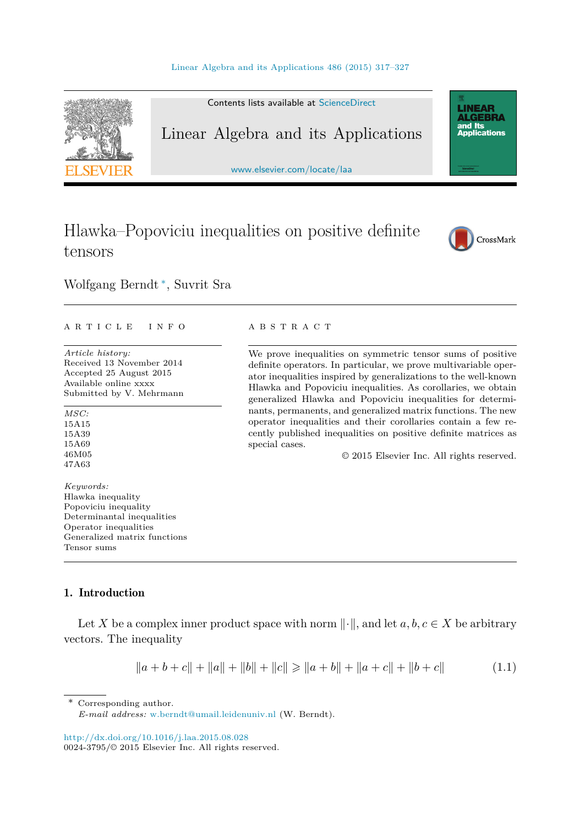<span id="page-0-0"></span>

# Hlawka–Popoviciu inequalities on positive definite tensors



Wolfgang Berndt ∗, Suvrit Sra

#### A R T I C L E I N F O A B S T R A C T

*Article history:* Received 13 November 2014 Accepted 25 August 2015 Available online xxxx Submitted by V. Mehrmann

*MSC:* 15A15 15A39 15A69 46M05 47A63

*Keywords:* Hlawka inequality Popoviciu inequality Determinantal inequalities Operator inequalities Generalized matrix functions Tensor sums

We prove inequalities on symmetric tensor sums of positive definite operators. In particular, we prove multivariable operator inequalities inspired by generalizations to the well-known Hlawka and Popoviciu inequalities. As corollaries, we obtain generalized Hlawka and Popoviciu inequalities for determinants, permanents, and generalized matrix functions. The new operator inequalities and their corollaries contain a few recently published inequalities on positive definite matrices as special cases.

© 2015 Elsevier Inc. All rights reserved.

# 1. Introduction

Let *X* be a complex inner product space with norm  $\|\cdot\|$ , and let  $a, b, c \in X$  be arbitrary vectors. The inequality

$$
||a+b+c||+||a||+||b||+||c|| \ge ||a+b||+||a+c||+||b+c|| \tag{1.1}
$$

Corresponding author.

*E-mail address:* [w.berndt@umail.leidenuniv.nl](mailto:w.berndt@umail.leidenuniv.nl) (W. Berndt).

<http://dx.doi.org/10.1016/j.laa.2015.08.028> 0024-3795/© 2015 Elsevier Inc. All rights reserved.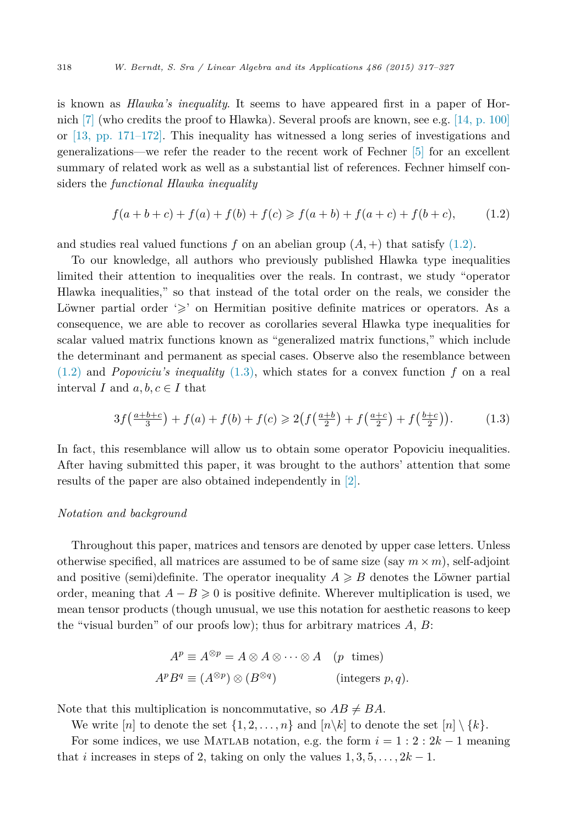is known as *Hlawka's inequality*. It seems to have appeared first in a paper of Hor-nich [\[7\]](#page-10-0) (who credits the proof to Hlawka). Several proofs are known, see e.g. [14, [p. 100\]](#page-10-0) or  $[13, pp. 171-172]$ . This inequality has witnessed a long series of investigations and generalizations—we refer the reader to the recent work of Fechner [\[5\]](#page-10-0) for an excellent summary of related work as well as a substantial list of references. Fechner himself considers the *functional Hlawka inequality*

$$
f(a+b+c) + f(a) + f(b) + f(c) \ge f(a+b) + f(a+c) + f(b+c), \tag{1.2}
$$

and studies real valued functions  $f$  on an abelian group  $(A, +)$  that satisfy  $(1.2)$ .

To our knowledge, all authors who previously published Hlawka type inequalities limited their attention to inequalities over the reals. In contrast, we study "operator Hlawka inequalities," so that instead of the total order on the reals, we consider the Löwner partial order  $\gg$  on Hermitian positive definite matrices or operators. As a consequence, we are able to recover as corollaries several Hlawka type inequalities for scalar valued matrix functions known as "generalized matrix functions," which include the determinant and permanent as special cases. Observe also the resemblance between (1.2) and *Popoviciu's inequality* (1.3), which states for a convex function *f* on a real interval *I* and  $a, b, c \in I$  that

$$
3f\left(\frac{a+b+c}{3}\right) + f(a) + f(b) + f(c) \ge 2\left(f\left(\frac{a+b}{2}\right) + f\left(\frac{a+c}{2}\right) + f\left(\frac{b+c}{2}\right)\right). \tag{1.3}
$$

In fact, this resemblance will allow us to obtain some operator Popoviciu inequalities. After having submitted this paper, it was brought to the authors' attention that some results of the paper are also obtained independently in [\[2\].](#page-10-0)

### *Notation and background*

Throughout this paper, matrices and tensors are denoted by upper case letters. Unless otherwise specified, all matrices are assumed to be of same size (say  $m \times m$ ), self-adjoint and positive (semi)definite. The operator inequality  $A \geq B$  denotes the Löwner partial order, meaning that  $A - B \ge 0$  is positive definite. Wherever multiplication is used, we mean tensor products (though unusual, we use this notation for aesthetic reasons to keep the "visual burden" of our proofs low); thus for arbitrary matrices *A*, *B*:

$$
A^{p} \equiv A^{\otimes p} = A \otimes A \otimes \cdots \otimes A \quad (p \text{ times})
$$
  

$$
A^{p} B^{q} \equiv (A^{\otimes p}) \otimes (B^{\otimes q}) \qquad \text{(integers } p, q).
$$

Note that this multiplication is noncommutative, so  $AB \neq BA$ .

We write  $[n]$  to denote the set  $\{1, 2, \ldots, n\}$  and  $[n\setminus k]$  to denote the set  $[n] \setminus \{k\}.$ For some indices, we use MATLAB notation, e.g. the form  $i = 1 : 2 : 2k - 1$  meaning that *i* increases in steps of 2, taking on only the values  $1, 3, 5, \ldots, 2k - 1$ .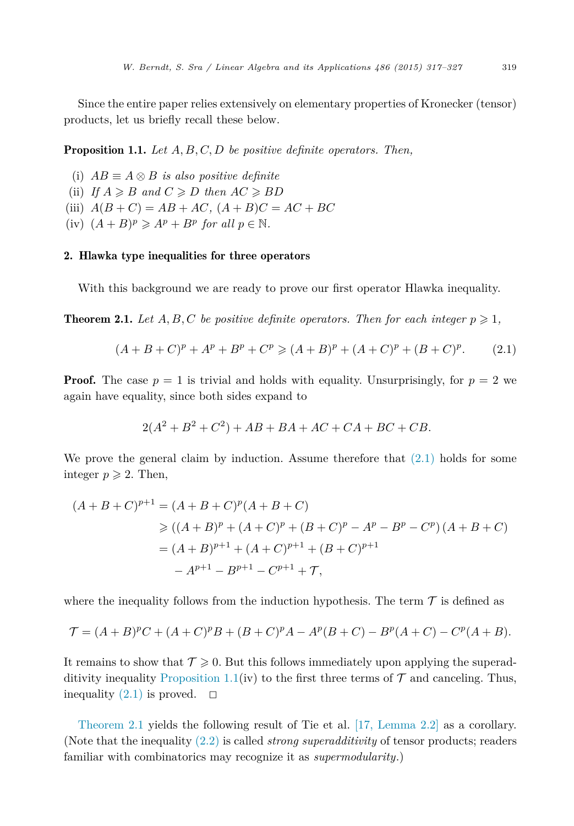<span id="page-2-0"></span>Since the entire paper relies extensively on elementary properties of Kronecker (tensor) products, let us briefly recall these below.

Proposition 1.1. *Let A, B, C, D be positive definite operators. Then,*

(i)  $AB ≡ A \otimes B$  *is also positive definite* 

(ii) If  $A \geq B$  and  $C \geq D$  then  $AC \geq BD$ 

(iii)  $A(B+C) = AB + AC$ ,  $(A+B)C = AC + BC$ 

 $(iv)$   $(A + B)^p \geqslant A^p + B^p$  for all  $p \in \mathbb{N}$ .

# 2. Hlawka type inequalities for three operators

With this background we are ready to prove our first operator Hlawka inequality.

**Theorem 2.1.** Let  $A, B, C$  be positive definite operators. Then for each integer  $p \geqslant 1$ ,

$$
(A + B + C)^{p} + A^{p} + B^{p} + C^{p} \ge (A + B)^{p} + (A + C)^{p} + (B + C)^{p}.
$$
 (2.1)

**Proof.** The case  $p = 1$  is trivial and holds with equality. Unsurprisingly, for  $p = 2$  we again have equality, since both sides expand to

$$
2(A^2 + B^2 + C^2) + AB + BA + AC + CA + BC + CB.
$$

We prove the general claim by induction. Assume therefore that  $(2.1)$  holds for some integer  $p \geqslant 2$ . Then,

$$
(A + B + C)^{p+1} = (A + B + C)^p (A + B + C)
$$
  
\n
$$
\geq ((A + B)^p + (A + C)^p + (B + C)^p - A^p - B^p - C^p) (A + B + C)
$$
  
\n
$$
= (A + B)^{p+1} + (A + C)^{p+1} + (B + C)^{p+1}
$$
  
\n
$$
- A^{p+1} - B^{p+1} - C^{p+1} + \mathcal{T},
$$

where the inequality follows from the induction hypothesis. The term  $\mathcal T$  is defined as

$$
\mathcal{T} = (A + B)^p C + (A + C)^p B + (B + C)^p A - A^p (B + C) - B^p (A + C) - C^p (A + B).
$$

It remains to show that  $\mathcal{T} \geqslant 0$ . But this follows immediately upon applying the superadditivity inequality Proposition 1.1(iv) to the first three terms of  $\mathcal T$  and canceling. Thus, inequality  $(2.1)$  is proved.  $\Box$ 

Theorem 2.1 yields the following result of Tie et al. [17, [Lemma 2.2\]](#page-10-0) as a corollary. (Note that the inequality [\(2.2\)](#page-3-0) is called *strong superadditivity* of tensor products; readers familiar with combinatorics may recognize it as *supermodularity*.)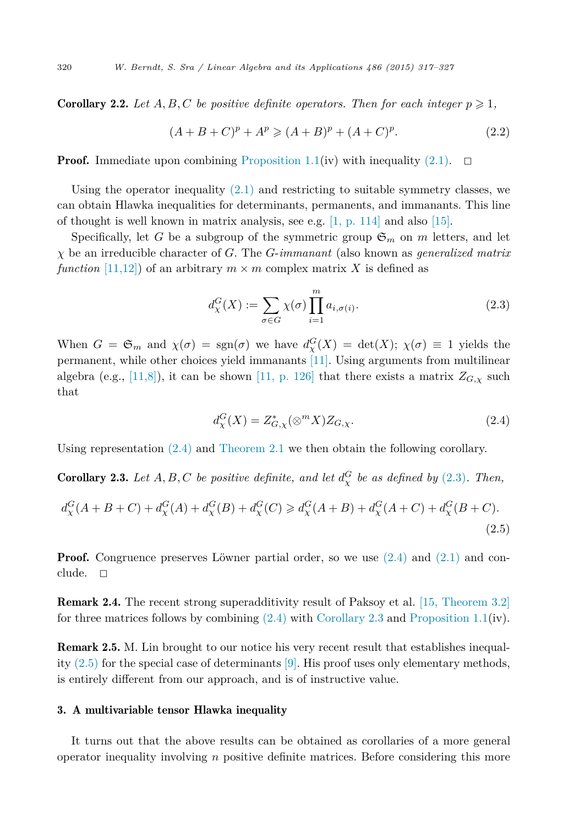**Corollary 2.2.** Let  $A, B, C$  be positive definite operators. Then for each integer  $p \geqslant 1$ ,

$$
(A + B + C)^p + A^p \ge (A + B)^p + (A + C)^p.
$$
 (2.2)

**Proof.** Immediate upon combining [Proposition 1.1\(](#page-2-0)iv) with inequality [\(2.1\).](#page-2-0)  $\Box$ 

Using the operator inequality  $(2.1)$  and restricting to suitable symmetry classes, we can obtain Hlawka inequalities for determinants, permanents, and immanants. This line of thought is well known in matrix analysis, see e.g.  $[1, p. 114]$  $[1, p. 114]$  and also  $[15]$ .

Specifically, let *G* be a subgroup of the symmetric group  $\mathfrak{S}_m$  on *m* letters, and let *χ* be an irreducible character of *G*. The *G*-*immanant* (also known as *generalized matrix function* [\[11,12\]\)](#page-10-0) of an arbitrary  $m \times m$  complex matrix X is defined as

$$
d_{\chi}^{G}(X) := \sum_{\sigma \in G} \chi(\sigma) \prod_{i=1}^{m} a_{i,\sigma(i)}.
$$
\n(2.3)

When  $G = \mathfrak{S}_m$  and  $\chi(\sigma) = \text{sgn}(\sigma)$  we have  $d_{\chi}^G(X) = \det(X); \chi(\sigma) \equiv 1$  yields the permanent, while other choices yield immanants [\[11\].](#page-10-0) Using arguments from multilinear algebra (e.g., [\[11,8\]\)](#page-10-0), it can be shown [11, [p. 126\]](#page-10-0) that there exists a matrix  $Z_{G,\chi}$  such that

$$
d_{\chi}^{G}(X) = Z_{G,\chi}^{*}(\otimes^{m} X)Z_{G,\chi}.
$$
\n(2.4)

Using representation (2.4) and [Theorem 2.1](#page-2-0) we then obtain the following corollary.

**Corollary 2.3.** Let  $A, B, C$  be positive definite, and let  $d_{\chi}^{G}$  be as defined by (2.3). Then,

$$
d_{\chi}^{G}(A+B+C) + d_{\chi}^{G}(A) + d_{\chi}^{G}(B) + d_{\chi}^{G}(C) \ge d_{\chi}^{G}(A+B) + d_{\chi}^{G}(A+C) + d_{\chi}^{G}(B+C).
$$
\n(2.5)

**Proof.** Congruence preserves Löwner partial order, so we use  $(2.4)$  and  $(2.1)$  and conclude.  $\Box$ 

Remark 2.4. The recent strong superadditivity result of Paksoy et al. [15, [Theorem 3.2\]](#page-10-0) for three matrices follows by combining  $(2.4)$  with Corollary 2.3 and [Proposition 1.1\(](#page-2-0)iv).

Remark 2.5. M. Lin brought to our notice his very recent result that establishes inequality  $(2.5)$  for the special case of determinants  $[9]$ . His proof uses only elementary methods, is entirely different from our approach, and is of instructive value.

### 3. A multivariable tensor Hlawka inequality

It turns out that the above results can be obtained as corollaries of a more general operator inequality involving *n* positive definite matrices. Before considering this more

<span id="page-3-0"></span>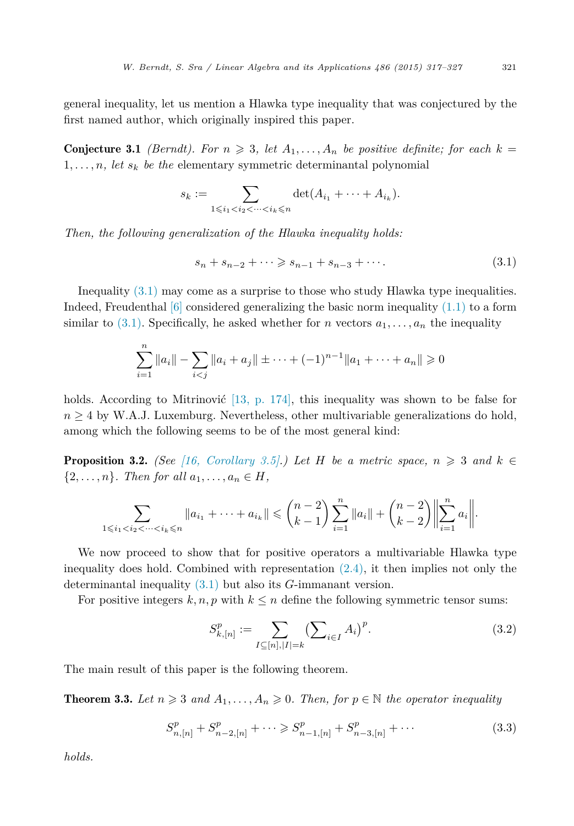<span id="page-4-0"></span>general inequality, let us mention a Hlawka type inequality that was conjectured by the first named author, which originally inspired this paper.

**Conjecture 3.1** *(Berndt). For*  $n \geq 3$ *, let*  $A_1, \ldots, A_n$  *be positive definite; for each*  $k =$  $1, \ldots, n$ , *let*  $s_k$  *be the* elementary symmetric determinantal polynomial

$$
s_k := \sum_{1 \leq i_1 < i_2 < \dots < i_k \leq n} \det(A_{i_1} + \dots + A_{i_k}).
$$

*Then, the following generalization of the Hlawka inequality holds:*

$$
s_n + s_{n-2} + \dots \ge s_{n-1} + s_{n-3} + \dots
$$
\n(3.1)

Inequality (3.1) may come as a surprise to those who study Hlawka type inequalities. Indeed, Freudenthal  $[6]$  considered generalizing the basic norm inequality  $(1.1)$  to a form similar to (3.1). Specifically, he asked whether for *n* vectors  $a_1, \ldots, a_n$  the inequality

$$
\sum_{i=1}^{n} ||a_i|| - \sum_{i < j} ||a_i + a_j|| + \dots + (-1)^{n-1} ||a_1 + \dots + a_n|| \geq 0
$$

holds. According to Mitrinović [13, p. [174\],](#page-10-0) this inequality was shown to be false for  $n \geq 4$  by W.A.J. Luxemburg. Nevertheless, other multivariable generalizations do hold, among which the following seems to be of the most general kind:

**Proposition 3.2.** *(See* [16, *[Corollary 3.5\].](#page-10-0))* Let *H be a* metric space,  $n \ge 3$  and  $k \in$  $\{2,\ldots,n\}$ *. Then for all*  $a_1,\ldots,a_n \in H$ ,

$$
\sum_{1 \leq i_1 < i_2 < \dots < i_k \leq n} \|a_{i_1} + \dots + a_{i_k}\| \leq \binom{n-2}{k-1} \sum_{i=1}^n \|a_i\| + \binom{n-2}{k-2} \left\| \sum_{i=1}^n a_i \right\|.
$$

We now proceed to show that for positive operators a multivariable Hlawka type inequality does hold. Combined with representation [\(2.4\),](#page-3-0) it then implies not only the determinantal inequality (3.1) but also its *G*-immanant version.

For positive integers  $k, n, p$  with  $k \leq n$  define the following symmetric tensor sums:

$$
S_{k,[n]}^p := \sum_{I \subseteq [n], |I| = k} \left(\sum_{i \in I} A_i\right)^p. \tag{3.2}
$$

The main result of this paper is the following theorem.

**Theorem 3.3.** Let  $n \geq 3$  and  $A_1, \ldots, A_n \geq 0$ . Then, for  $p \in \mathbb{N}$  the operator inequality

$$
S_{n,[n]}^p + S_{n-2,[n]}^p + \cdots \geqslant S_{n-1,[n]}^p + S_{n-3,[n]}^p + \cdots
$$
\n(3.3)

*holds.*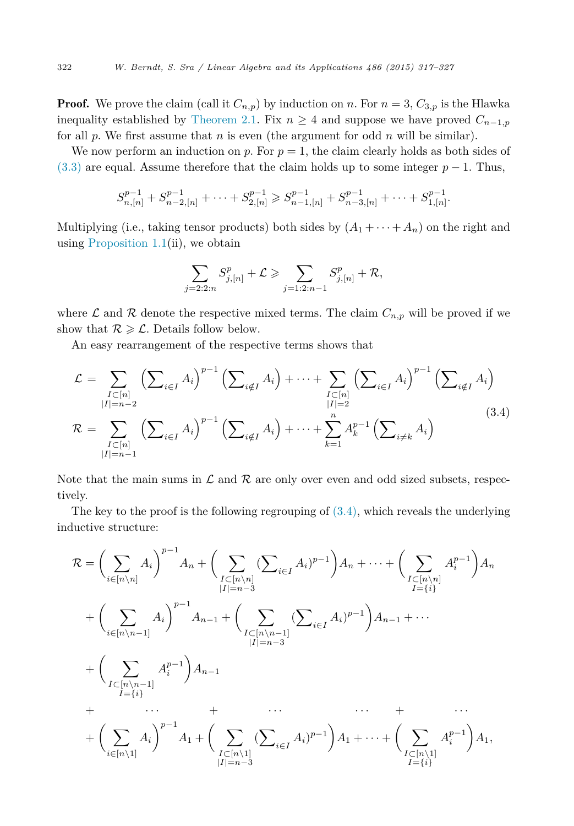**Proof.** We prove the claim (call it  $C_{n,p}$ ) by induction on *n*. For  $n = 3$ ,  $C_{3,p}$  is the Hlawka inequality established by [Theorem 2.1.](#page-2-0) Fix  $n \geq 4$  and suppose we have proved  $C_{n-1,p}$ for all *p*. We first assume that *n* is even (the argument for odd *n* will be similar).

We now perform an induction on  $p$ . For  $p = 1$ , the claim clearly holds as both sides of  $(3.3)$  are equal. Assume therefore that the claim holds up to some integer  $p-1$ . Thus,

$$
S_{n,[n]}^{p-1} + S_{n-2,[n]}^{p-1} + \cdots + S_{2,[n]}^{p-1} \geq S_{n-1,[n]}^{p-1} + S_{n-3,[n]}^{p-1} + \cdots + S_{1,[n]}^{p-1}.
$$

Multiplying (i.e., taking tensor products) both sides by  $(A_1 + \cdots + A_n)$  on the right and using Proposition  $1.1(ii)$ , we obtain

$$
\sum_{j=2:2:n} S_{j,[n]}^p + \mathcal{L} \ge \sum_{j=1:2:n-1} S_{j,[n]}^p + \mathcal{R},
$$

where  $\mathcal L$  and  $\mathcal R$  denote the respective mixed terms. The claim  $C_{n,p}$  will be proved if we show that  $R \geqslant C$ . Details follow below.

An easy rearrangement of the respective terms shows that

$$
\mathcal{L} = \sum_{\substack{I \subset [n] \\ |I| = n-2}} \left( \sum_{i \in I} A_i \right)^{p-1} \left( \sum_{i \notin I} A_i \right) + \dots + \sum_{\substack{I \subset [n] \\ |I| = 2}} \left( \sum_{i \in I} A_i \right)^{p-1} \left( \sum_{i \notin I} A_i \right)
$$
\n
$$
\mathcal{R} = \sum_{\substack{I \subset [n] \\ |I| = n-1}} \left( \sum_{i \in I} A_i \right)^{p-1} \left( \sum_{i \notin I} A_i \right) + \dots + \sum_{k=1}^n A_k^{p-1} \left( \sum_{i \neq k} A_i \right)
$$
\n(3.4)

Note that the main sums in  $\mathcal L$  and  $\mathcal R$  are only over even and odd sized subsets, respectively.

The key to the proof is the following regrouping of  $(3.4)$ , which reveals the underlying inductive structure:

$$
\mathcal{R} = \left(\sum_{i \in [n \setminus n]} A_i\right)^{p-1} A_n + \left(\sum_{\substack{I \subset [n \setminus n] \\ |I| = n-3}} (\sum_{i \in I} A_i)^{p-1}\right) A_n + \dots + \left(\sum_{\substack{I \subset [n \setminus n] \\ I = \{i\}}} A_i^{p-1}\right) A_n
$$
  
+ 
$$
\left(\sum_{i \in [n \setminus n-1]} A_i\right)^{p-1} A_{n-1} + \left(\sum_{\substack{I \subset [n \setminus n-1] \\ |I| = n-3}} (\sum_{i \in I} A_i)^{p-1}\right) A_{n-1} + \dots
$$
  
+ 
$$
\left(\sum_{\substack{I \subset [n \setminus n-1] \\ I = \{i\}}} A_i^{p-1}\right) A_{n-1}
$$
  
+ 
$$
\dots + \left(\sum_{\substack{I \subset [n \setminus 1] \\ |I| = n-3}} A_i\right)^{p-1} A_1 + \left(\sum_{\substack{I \subset [n \setminus 1] \\ |I| = n-3}} (\sum_{i \in I} A_i)^{p-1}\right) A_1 + \dots + \left(\sum_{\substack{I \subset [n \setminus 1] \\ |I| = \{i\}}} A_i^{p-1}\right) A_1,
$$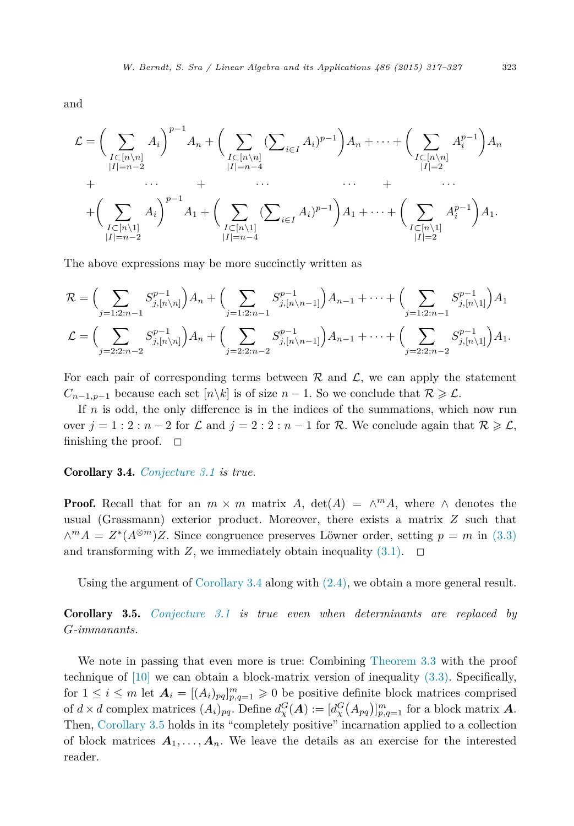and

$$
\mathcal{L} = \left(\sum_{\substack{I \subset [n \setminus n] \\ |I| = n-2}} A_i\right)^{p-1} A_n + \left(\sum_{\substack{I \subset [n \setminus n] \\ |I| = n-4}} (\sum_{i \in I} A_i)^{p-1}\right) A_n + \dots + \left(\sum_{\substack{I \subset [n \setminus n] \\ |I| = 2}} A_i^{p-1}\right) A_n
$$
  
+  $\dots$   
+  $\left(\sum_{\substack{I \subset [n \setminus 1] \\ |I| = n-2}} A_i\right)^{p-1} A_1 + \left(\sum_{\substack{I \subset [n \setminus 1] \\ |I| = n-4}} (\sum_{i \in I} A_i)^{p-1}\right) A_1 + \dots + \left(\sum_{\substack{I \subset [n \setminus 1] \\ |I| = 2}} A_i^{p-1}\right) A_1.$ 

The above expressions may be more succinctly written as

$$
\mathcal{R} = \Big( \sum_{j=1:2:n-1} S_{j,[n\backslash n]}^{p-1} \Big) A_n + \Big( \sum_{j=1:2:n-1} S_{j,[n\backslash n-1]}^{p-1} \Big) A_{n-1} + \dots + \Big( \sum_{j=1:2:n-1} S_{j,[n\backslash 1]}^{p-1} \Big) A_1
$$
  

$$
\mathcal{L} = \Big( \sum_{j=2:2:n-2} S_{j,[n\backslash n]}^{p-1} \Big) A_n + \Big( \sum_{j=2:2:n-2} S_{j,[n\backslash n-1]}^{p-1} \Big) A_{n-1} + \dots + \Big( \sum_{j=2:2:n-2} S_{j,[n\backslash 1]}^{p-1} \Big) A_1.
$$

For each pair of corresponding terms between  $\mathcal R$  and  $\mathcal L$ , we can apply the statement  $C_{n-1,p-1}$  because each set  $[n\setminus k]$  is of size  $n-1$ . So we conclude that  $R \geqslant \mathcal{L}$ .

If *n* is odd, the only difference is in the indices of the summations, which now run over  $j = 1 : 2 : n - 2$  for  $\mathcal L$  and  $j = 2 : 2 : n - 1$  for  $\mathcal R$ . We conclude again that  $\mathcal R \geqslant \mathcal L$ , finishing the proof.  $\square$ 

#### Corollary 3.4. *[Conjecture 3.1](#page-4-0) is true.*

**Proof.** Recall that for an  $m \times m$  matrix *A*,  $det(A) = \wedge^m A$ , where  $\wedge$  denotes the usual (Grassmann) exterior product. Moreover, there exists a matrix *Z* such that  $∧<sup>m</sup>A = Z<sup>*</sup>(A<sup>⊗m</sup>)Z$ . Since congruence preserves Löwner order, setting *p* = *m* in [\(3.3\)](#page-4-0) and transforming with *Z*, we immediately obtain inequality  $(3.1)$ .  $\Box$ 

Using the argument of Corollary 3.4 along with [\(2.4\),](#page-3-0) we obtain a more general result.

Corollary 3.5. *[Conjecture 3.1](#page-4-0) is true even when determinants are replaced by G-immanants.*

We note in passing that even more is true: Combining [Theorem 3.3](#page-4-0) with the proof technique of [\[10\]](#page-10-0) we can obtain a block-matrix version of inequality [\(3.3\).](#page-4-0) Specifically, for  $1 \leq i \leq m$  let  $\mathbf{A}_i = [(A_i)_{pq}]_{p,q=1}^m \geq 0$  be positive definite block matrices comprised of  $d \times d$  complex matrices  $(A_i)_{pq}$ . Define  $d_{\chi}^G(A) := [d_{\chi}^G(A_{pq})]_{p,q=1}^m$  for a block matrix *A*. Then, Corollary 3.5 holds in its "completely positive" incarnation applied to a collection of block matrices  $A_1, \ldots, A_n$ . We leave the details as an exercise for the interested reader.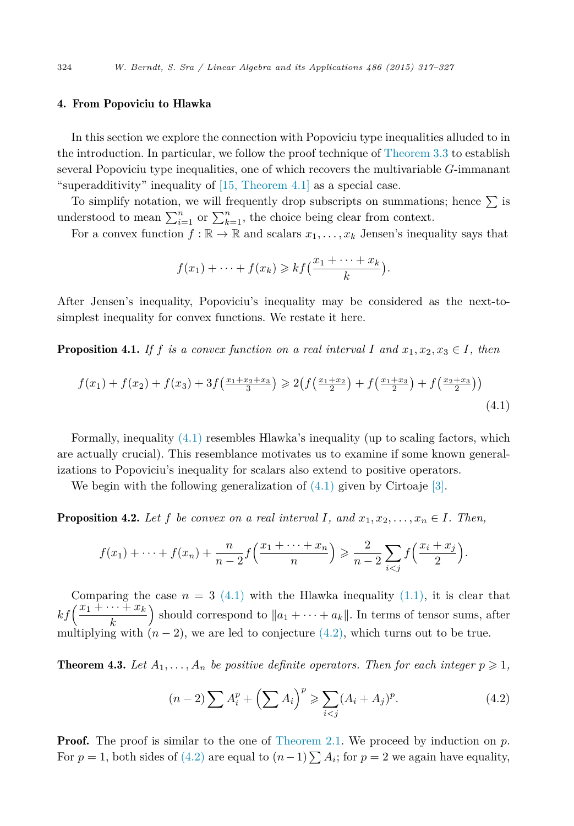# <span id="page-7-0"></span>4. From Popoviciu to Hlawka

In this section we explore the connection with Popoviciu type inequalities alluded to in the introduction. In particular, we follow the proof technique of [Theorem 3.3](#page-4-0) to establish several Popoviciu type inequalities, one of which recovers the multivariable *G*-immanant "superadditivity" inequality of [15, [Theorem 4.1\]](#page-10-0) as a special case.

To simplify notation, we will frequently drop subscripts on summations; hence  $\Sigma$  is understood to mean  $\sum_{i=1}^{n}$  or  $\sum_{k=1}^{n}$ , the choice being clear from context.

For a convex function  $f : \mathbb{R} \to \mathbb{R}$  and scalars  $x_1, \ldots, x_k$  Jensen's inequality says that

$$
f(x_1) + \cdots + f(x_k) \geqslant kf\left(\frac{x_1 + \cdots + x_k}{k}\right).
$$

After Jensen's inequality, Popoviciu's inequality may be considered as the next-tosimplest inequality for convex functions. We restate it here.

**Proposition 4.1.** If f is a convex function on a real interval I and  $x_1, x_2, x_3 \in I$ , then

$$
f(x_1) + f(x_2) + f(x_3) + 3f\left(\frac{x_1 + x_2 + x_3}{3}\right) \ge 2\left(f\left(\frac{x_1 + x_2}{2}\right) + f\left(\frac{x_1 + x_3}{2}\right) + f\left(\frac{x_2 + x_3}{2}\right)\right)
$$
\n(4.1)

Formally, inequality (4.1) resembles Hlawka's inequality (up to scaling factors, which are actually crucial). This resemblance motivates us to examine if some known generalizations to Popoviciu's inequality for scalars also extend to positive operators.

We begin with the following generalization of  $(4.1)$  given by Cirtoaje [\[3\].](#page-10-0)

**Proposition 4.2.** Let f be convex on a real interval I, and  $x_1, x_2, \ldots, x_n \in I$ . Then,

$$
f(x_1) + \dots + f(x_n) + \frac{n}{n-2} f\left(\frac{x_1 + \dots + x_n}{n}\right) \ge \frac{2}{n-2} \sum_{i < j} f\left(\frac{x_i + x_j}{2}\right).
$$

Comparing the case  $n = 3$  (4.1) with the Hlawka inequality [\(1.1\),](#page-0-0) it is clear that  $kf\left(\frac{x_1 + \cdots + x_k}{k}\right)$ ) should correspond to  $||a_1 + \cdots + a_k||$ . In terms of tensor sums, after multiplying with  $(n-2)$ , we are led to conjecture  $(4.2)$ , which turns out to be true.

**Theorem 4.3.** Let  $A_1, \ldots, A_n$  be positive definite operators. Then for each integer  $p \geqslant 1$ ,

$$
(n-2)\sum A_i^p + \left(\sum A_i\right)^p \ge \sum_{i < j} (A_i + A_j)^p. \tag{4.2}
$$

**Proof.** The proof is similar to the one of [Theorem 2.1.](#page-2-0) We proceed by induction on p. For  $p = 1$ , both sides of (4.2) are equal to  $(n-1) \sum A_i$ ; for  $p = 2$  we again have equality,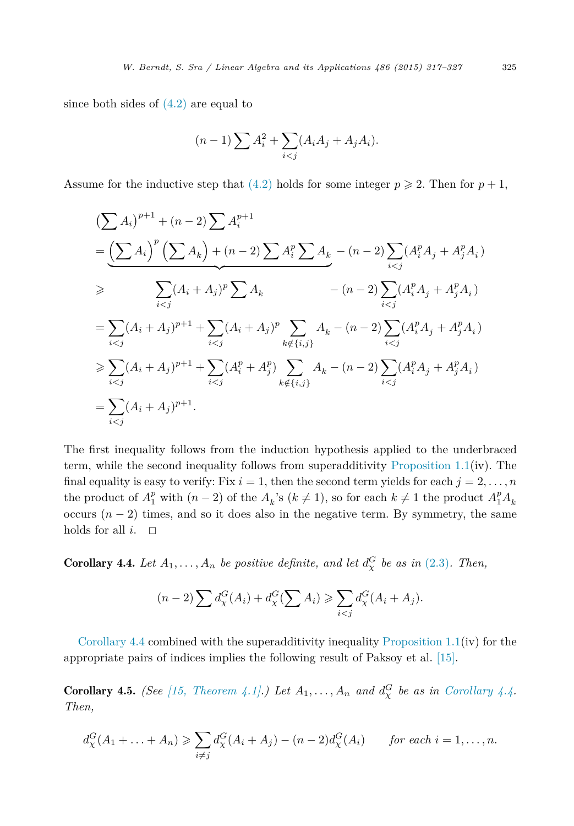since both sides of  $(4.2)$  are equal to

$$
(n-1)\sum A_i^2 + \sum_{i < j} (A_i A_j + A_j A_i).
$$

Assume for the inductive step that  $(4.2)$  holds for some integer  $p \ge 2$ . Then for  $p + 1$ ,

$$
\begin{split}\n&\left(\sum A_{i}\right)^{p+1} + (n-2)\sum A_{i}^{p+1} \\
&= \underbrace{\left(\sum A_{i}\right)^{p}\left(\sum A_{k}\right) + (n-2)\sum A_{i}^{p}\sum A_{k}}_{i < j} - (n-2)\sum_{i < j} (A_{i}^{p}A_{j} + A_{j}^{p}A_{i}) \\
&\geqslant \sum_{i < j} (A_{i} + A_{j})^{p}\sum A_{k} - (n-2)\sum_{i < j} (A_{i}^{p}A_{j} + A_{j}^{p}A_{i}) \\
&= \sum_{i < j} (A_{i} + A_{j})^{p+1} + \sum_{i < j} (A_{i} + A_{j})^{p}\sum_{k \notin \{i, j\}} A_{k} - (n-2)\sum_{i < j} (A_{i}^{p}A_{j} + A_{j}^{p}A_{i}) \\
&\geqslant \sum_{i < j} (A_{i} + A_{j})^{p+1} + \sum_{i < j} (A_{i}^{p} + A_{j}^{p})\sum_{k \notin \{i, j\}} A_{k} - (n-2)\sum_{i < j} (A_{i}^{p}A_{j} + A_{j}^{p}A_{i}) \\
&= \sum_{i < j} (A_{i} + A_{j})^{p+1}.\n\end{split}
$$

The first inequality follows from the induction hypothesis applied to the underbraced term, while the second inequality follows from superadditivity [Proposition 1.1\(](#page-2-0)iv). The final equality is easy to verify: Fix  $i = 1$ , then the second term yields for each  $j = 2, \ldots, n$ the product of  $A_1^p$  with  $(n-2)$  of the  $A_k$ 's  $(k \neq 1)$ , so for each  $k \neq 1$  the product  $A_1^p A_k$ occurs  $(n-2)$  times, and so it does also in the negative term. By symmetry, the same holds for all  $i$ .  $\Box$ 

**Corollary 4.4.** Let  $A_1, \ldots, A_n$  be positive definite, and let  $d_{\chi}^G$  be as in [\(2.3\)](#page-3-0). Then,

$$
(n-2)\sum d_{\chi}^{G}(A_i) + d_{\chi}^{G}(\sum A_i) \geqslant \sum_{i < j} d_{\chi}^{G}(A_i + A_j).
$$

Corollary 4.4 combined with the superadditivity inequality [Proposition 1.1\(](#page-2-0)iv) for the appropriate pairs of indices implies the following result of Paksoy et al. [\[15\].](#page-10-0)

**Corollary 4.5.** *(See [15, [Theorem 4.1\].](#page-10-0)) Let*  $A_1, \ldots, A_n$  *and*  $d^G_\chi$  *be as in Corollary 4.4. Then,*

$$
d_{\chi}^{G}(A_1 + \ldots + A_n) \geqslant \sum_{i \neq j} d_{\chi}^{G}(A_i + A_j) - (n-2)d_{\chi}^{G}(A_i) \qquad \text{for each } i = 1, \ldots, n.
$$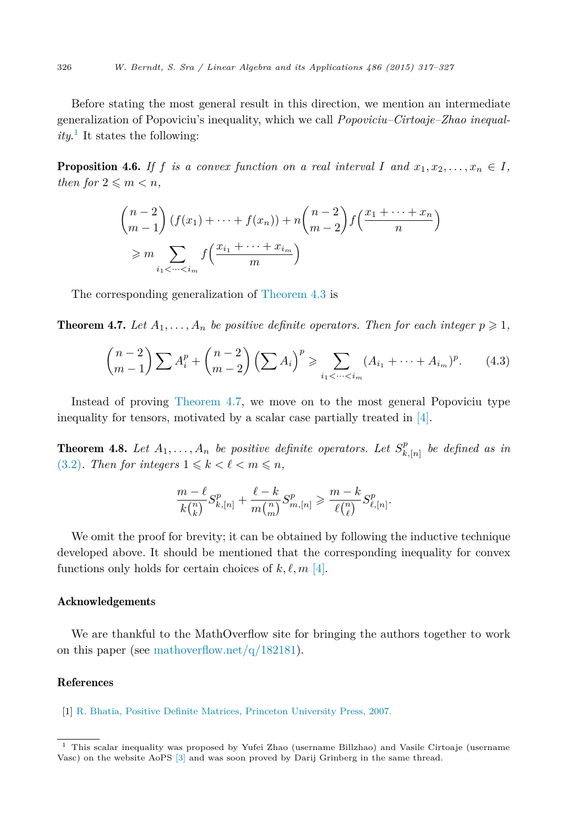<span id="page-9-0"></span>Before stating the most general result in this direction, we mention an intermediate generalization of Popoviciu's inequality, which we call *Popoviciu–Cirtoaje–Zhao inequality*. <sup>1</sup> It states the following:

**Proposition 4.6.** If f is a convex function on a real interval I and  $x_1, x_2, \ldots, x_n \in I$ , *then for*  $2 \leq m \leq n$ *,* 

$$
\binom{n-2}{m-1} (f(x_1) + \dots + f(x_n)) + n \binom{n-2}{m-2} f\left(\frac{x_1 + \dots + x_n}{n}\right)
$$
  
\n
$$
\geq m \sum_{i_1 < \dots < i_m} f\left(\frac{x_{i_1} + \dots + x_{i_m}}{m}\right)
$$

The corresponding generalization of [Theorem 4.3](#page-7-0) is

**Theorem 4.7.** Let  $A_1, \ldots, A_n$  be positive definite operators. Then for each integer  $p \geqslant 1$ ,

$$
\binom{n-2}{m-1} \sum A_i^p + \binom{n-2}{m-2} \left( \sum A_i \right)^p \ge \sum_{i_1 < \dots < i_m} (A_{i_1} + \dots + A_{i_m})^p. \tag{4.3}
$$

Instead of proving Theorem 4.7, we move on to the most general Popoviciu type inequality for tensors, motivated by a scalar case partially treated in [\[4\].](#page-10-0)

**Theorem 4.8.** Let  $A_1, \ldots, A_n$  be positive definite operators. Let  $S_{k,[n]}^p$  be defined as in  $(3.2)$ *. Then for integers*  $1 \leq k < \ell < m \leq n$ ,

$$
\frac{m-\ell}{k\binom{n}{k}}S_{k,[n]}^p+\frac{\ell-k}{m\binom{n}{m}}S_{m,[n]}^p\geqslant \frac{m-k}{\ell\binom{n}{\ell}}S_{\ell,[n]}^p.
$$

We omit the proof for brevity; it can be obtained by following the inductive technique developed above. It should be mentioned that the corresponding inequality for convex functions only holds for certain choices of  $k, \ell, m$  [\[4\].](#page-10-0)

#### Acknowledgements

We are thankful to the MathOverflow site for bringing the authors together to work on this paper (see mathoverflow.net/ $q/182181$ ).

# References

[1] R. Bhatia, Positive Definite Matrices, Princeton [University](http://refhub.elsevier.com/S0024-3795(15)00496-6/bib6268617469613037s1) Press, 2007.

<sup>1</sup> This scalar inequality was proposed by Yufei Zhao (username Billzhao) and Vasile Cirtoaje (username Vasc) on the website AoPS [\[3\]](#page-10-0) and was soon proved by Darij Grinberg in the same thread.